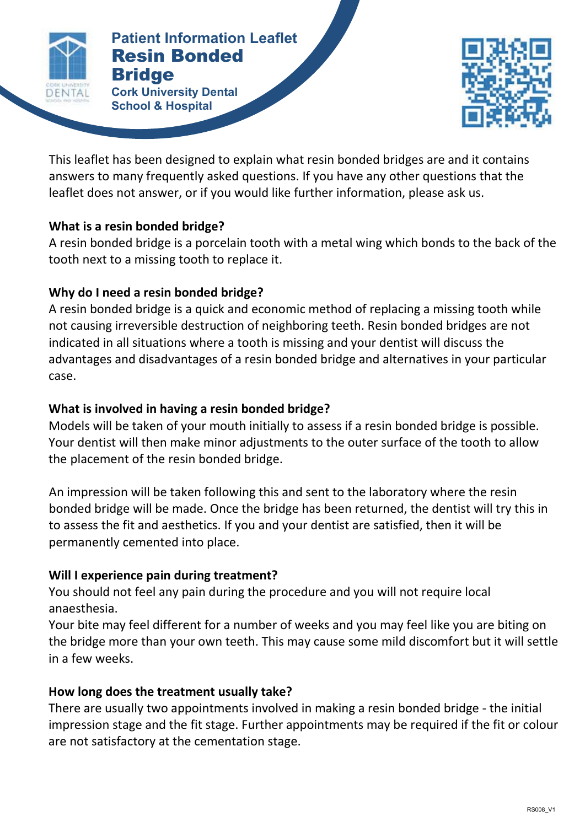

#### **Patient Information Leaflet Patient Information Leaflet** Resin Bonded **Bridge**

**RESIN BONDED BRIDGE Cork University Dental School & Hospital**



This leaflet has been designed to explain what resin bonded bridges are and it contains answers to many frequently asked questions. If you have any other questions that the leaflet does not answer, or if you would like further information, please ask us.

## **What is a resin bonded bridge?**

A resin bonded bridge is a porcelain tooth with a metal wing which bonds to the back of the tooth next to a missing tooth to replace it.

## **Why do I need a resin bonded bridge?**

A resin bonded bridge is a quick and economic method of replacing a missing tooth while not causing irreversible destruction of neighboring teeth. Resin bonded bridges are not indicated in all situations where a tooth is missing and your dentist will discuss the advantages and disadvantages of a resin bonded bridge and alternatives in your particular case.

## **What is involved in having a resin bonded bridge?**

Models will be taken of your mouth initially to assess if a resin bonded bridge is possible. Your dentist will then make minor adjustments to the outer surface of the tooth to allow the placement of the resin bonded bridge.

An impression will be taken following this and sent to the laboratory where the resin bonded bridge will be made. Once the bridge has been returned, the dentist will try this in to assess the fit and aesthetics. If you and your dentist are satisfied, then it will be permanently cemented into place.

# **Will I experience pain during treatment?**

You should not feel any pain during the procedure and you will not require local anaesthesia.

Your bite may feel different for a number of weeks and you may feel like you are biting on the bridge more than your own teeth. This may cause some mild discomfort but it will settle in a few weeks.

## **How long does the treatment usually take?**

There are usually two appointments involved in making a resin bonded bridge - the initial impression stage and the fit stage. Further appointments may be required if the fit or colour are not satisfactory at the cementation stage.